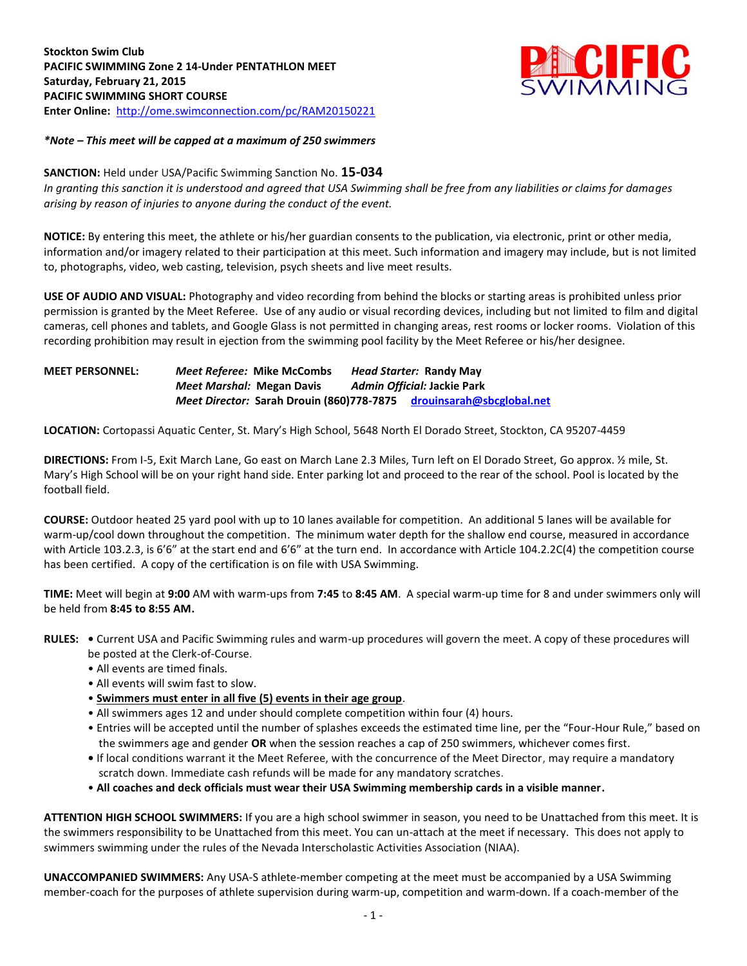

### *\*Note – This meet will be capped at a maximum of 250 swimmers*

### **SANCTION:** Held under USA/Pacific Swimming Sanction No. **15-034**

*In granting this sanction it is understood and agreed that USA Swimming shall be free from any liabilities or claims for damages arising by reason of injuries to anyone during the conduct of the event.*

**NOTICE:** By entering this meet, the athlete or his/her guardian consents to the publication, via electronic, print or other media, information and/or imagery related to their participation at this meet. Such information and imagery may include, but is not limited to, photographs, video, web casting, television, psych sheets and live meet results.

**USE OF AUDIO AND VISUAL:** Photography and video recording from behind the blocks or starting areas is prohibited unless prior permission is granted by the Meet Referee. Use of any audio or visual recording devices, including but not limited to film and digital cameras, cell phones and tablets, and Google Glass is not permitted in changing areas, rest rooms or locker rooms. Violation of this recording prohibition may result in ejection from the swimming pool facility by the Meet Referee or his/her designee.

## **MEET PERSONNEL:** *Meet Referee:* **Mike McCombs** *Head Starter:* **Randy May** *Meet Marshal:* **Megan Davis** *Admin Official:* **Jackie Park** *Meet Director:* **Sarah Drouin (860)778-7875 [drouinsarah@sbcglobal.net](mailto:drouinsarah@sbcglobal.net)**

**LOCATION:** Cortopassi Aquatic Center, St. Mary's High School, 5648 North El Dorado Street, Stockton, CA 95207-4459

**DIRECTIONS:** From I-5, Exit March Lane, Go east on March Lane 2.3 Miles, Turn left on El Dorado Street, Go approx. ½ mile, St. Mary's High School will be on your right hand side. Enter parking lot and proceed to the rear of the school. Pool is located by the football field.

**COURSE:** Outdoor heated 25 yard pool with up to 10 lanes available for competition. An additional 5 lanes will be available for warm-up/cool down throughout the competition. The minimum water depth for the shallow end course, measured in accordance with Article 103.2.3, is 6'6" at the start end and 6'6" at the turn end. In accordance with Article 104.2.2C(4) the competition course has been certified. A copy of the certification is on file with USA Swimming.

**TIME:** Meet will begin at **9:00** AM with warm-ups from **7:45** to **8:45 AM**. A special warm-up time for 8 and under swimmers only will be held from **8:45 to 8:55 AM.**

- **RULES:** Current USA and Pacific Swimming rules and warm-up procedures will govern the meet. A copy of these procedures will be posted at the Clerk-of-Course.
	- All events are timed finals.
	- All events will swim fast to slow.
	- **Swimmers must enter in all five (5) events in their age group**.
	- All swimmers ages 12 and under should complete competition within four (4) hours.
	- Entries will be accepted until the number of splashes exceeds the estimated time line, per the "Four-Hour Rule," based on the swimmers age and gender **OR** when the session reaches a cap of 250 swimmers, whichever comes first.
	- If local conditions warrant it the Meet Referee, with the concurrence of the Meet Director, may require a mandatory scratch down. Immediate cash refunds will be made for any mandatory scratches.
	- **All coaches and deck officials must wear their USA Swimming membership cards in a visible manner.**

**ATTENTION HIGH SCHOOL SWIMMERS:** If you are a high school swimmer in season, you need to be Unattached from this meet. It is the swimmers responsibility to be Unattached from this meet. You can un-attach at the meet if necessary. This does not apply to swimmers swimming under the rules of the Nevada Interscholastic Activities Association (NIAA).

**UNACCOMPANIED SWIMMERS:** Any USA-S athlete-member competing at the meet must be accompanied by a USA Swimming member-coach for the purposes of athlete supervision during warm-up, competition and warm-down. If a coach-member of the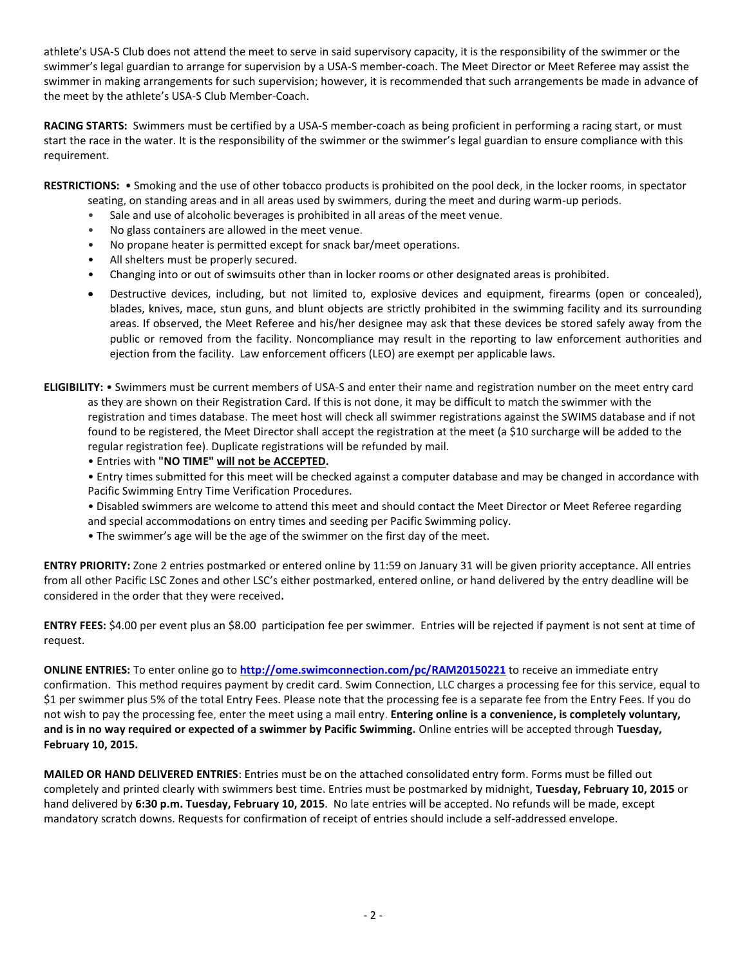athlete's USA-S Club does not attend the meet to serve in said supervisory capacity, it is the responsibility of the swimmer or the swimmer's legal guardian to arrange for supervision by a USA-S member-coach. The Meet Director or Meet Referee may assist the swimmer in making arrangements for such supervision; however, it is recommended that such arrangements be made in advance of the meet by the athlete's USA-S Club Member-Coach.

**RACING STARTS:** Swimmers must be certified by a USA-S member-coach as being proficient in performing a racing start, or must start the race in the water. It is the responsibility of the swimmer or the swimmer's legal guardian to ensure compliance with this requirement.

**RESTRICTIONS:** • Smoking and the use of other tobacco products is prohibited on the pool deck, in the locker rooms, in spectator seating, on standing areas and in all areas used by swimmers, during the meet and during warm-up periods.

- Sale and use of alcoholic beverages is prohibited in all areas of the meet venue.
- No glass containers are allowed in the meet venue.
- No propane heater is permitted except for snack bar/meet operations.
- All shelters must be properly secured.
- Changing into or out of swimsuits other than in locker rooms or other designated areas is prohibited.
- Destructive devices, including, but not limited to, explosive devices and equipment, firearms (open or concealed), blades, knives, mace, stun guns, and blunt objects are strictly prohibited in the swimming facility and its surrounding areas. If observed, the Meet Referee and his/her designee may ask that these devices be stored safely away from the public or removed from the facility. Noncompliance may result in the reporting to law enforcement authorities and ejection from the facility. Law enforcement officers (LEO) are exempt per applicable laws.
- **ELIGIBILITY:** Swimmers must be current members of USA-S and enter their name and registration number on the meet entry card as they are shown on their Registration Card. If this is not done, it may be difficult to match the swimmer with the registration and times database. The meet host will check all swimmer registrations against the SWIMS database and if not found to be registered, the Meet Director shall accept the registration at the meet (a \$10 surcharge will be added to the regular registration fee). Duplicate registrations will be refunded by mail.
	- Entries with **"NO TIME" will not be ACCEPTED.**
	- Entry times submitted for this meet will be checked against a computer database and may be changed in accordance with Pacific Swimming Entry Time Verification Procedures.
	- Disabled swimmers are welcome to attend this meet and should contact the Meet Director or Meet Referee regarding and special accommodations on entry times and seeding per Pacific Swimming policy.
	- The swimmer's age will be the age of the swimmer on the first day of the meet.

**ENTRY PRIORITY:** Zone 2 entries postmarked or entered online by 11:59 on January 31 will be given priority acceptance. All entries from all other Pacific LSC Zones and other LSC's either postmarked, entered online, or hand delivered by the entry deadline will be considered in the order that they were received**.** 

**ENTRY FEES:** \$4.00 per event plus an \$8.00 participation fee per swimmer. Entries will be rejected if payment is not sent at time of request.

**ONLINE ENTRIES:** To enter online go to **<http://ome.swimconnection.com/pc/RAM20150221>** to receive an immediate entry confirmation. This method requires payment by credit card. Swim Connection, LLC charges a processing fee for this service, equal to \$1 per swimmer plus 5% of the total Entry Fees. Please note that the processing fee is a separate fee from the Entry Fees. If you do not wish to pay the processing fee, enter the meet using a mail entry. **Entering online is a convenience, is completely voluntary, and is in no way required or expected of a swimmer by Pacific Swimming.** Online entries will be accepted through **Tuesday, February 10, 2015.**

**MAILED OR HAND DELIVERED ENTRIES**: Entries must be on the attached consolidated entry form. Forms must be filled out completely and printed clearly with swimmers best time. Entries must be postmarked by midnight, **Tuesday, February 10, 2015** or hand delivered by **6:30 p.m. Tuesday, February 10, 2015**. No late entries will be accepted. No refunds will be made, except mandatory scratch downs. Requests for confirmation of receipt of entries should include a self-addressed envelope.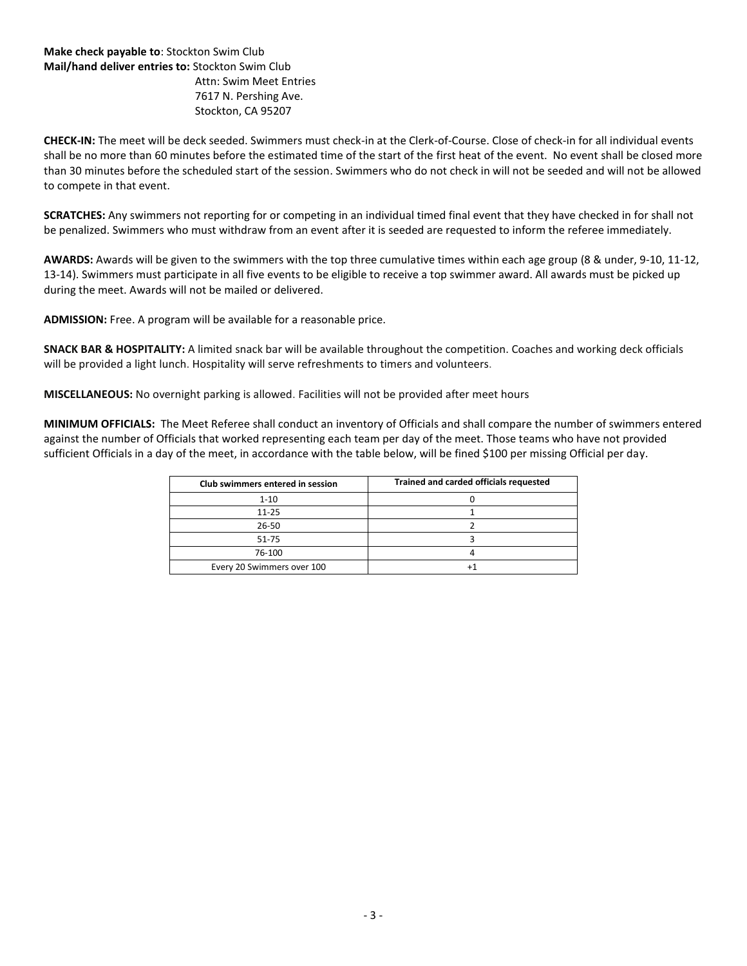# **Make check payable to**: Stockton Swim Club **Mail/hand deliver entries to:** Stockton Swim Club Attn: Swim Meet Entries 7617 N. Pershing Ave. Stockton, CA 95207

**CHECK-IN:** The meet will be deck seeded. Swimmers must check-in at the Clerk-of-Course. Close of check-in for all individual events shall be no more than 60 minutes before the estimated time of the start of the first heat of the event. No event shall be closed more than 30 minutes before the scheduled start of the session. Swimmers who do not check in will not be seeded and will not be allowed to compete in that event.

**SCRATCHES:** Any swimmers not reporting for or competing in an individual timed final event that they have checked in for shall not be penalized. Swimmers who must withdraw from an event after it is seeded are requested to inform the referee immediately.

**AWARDS:** Awards will be given to the swimmers with the top three cumulative times within each age group (8 & under, 9-10, 11-12, 13-14). Swimmers must participate in all five events to be eligible to receive a top swimmer award. All awards must be picked up during the meet. Awards will not be mailed or delivered.

**ADMISSION:** Free. A program will be available for a reasonable price.

**SNACK BAR & HOSPITALITY:** A limited snack bar will be available throughout the competition. Coaches and working deck officials will be provided a light lunch. Hospitality will serve refreshments to timers and volunteers.

**MISCELLANEOUS:** No overnight parking is allowed. Facilities will not be provided after meet hours

**MINIMUM OFFICIALS:** The Meet Referee shall conduct an inventory of Officials and shall compare the number of swimmers entered against the number of Officials that worked representing each team per day of the meet. Those teams who have not provided sufficient Officials in a day of the meet, in accordance with the table below, will be fined \$100 per missing Official per day.

| Club swimmers entered in session | Trained and carded officials requested |
|----------------------------------|----------------------------------------|
| $1 - 10$                         |                                        |
| $11 - 25$                        |                                        |
| $26 - 50$                        |                                        |
| 51-75                            |                                        |
| 76-100                           |                                        |
| Every 20 Swimmers over 100       |                                        |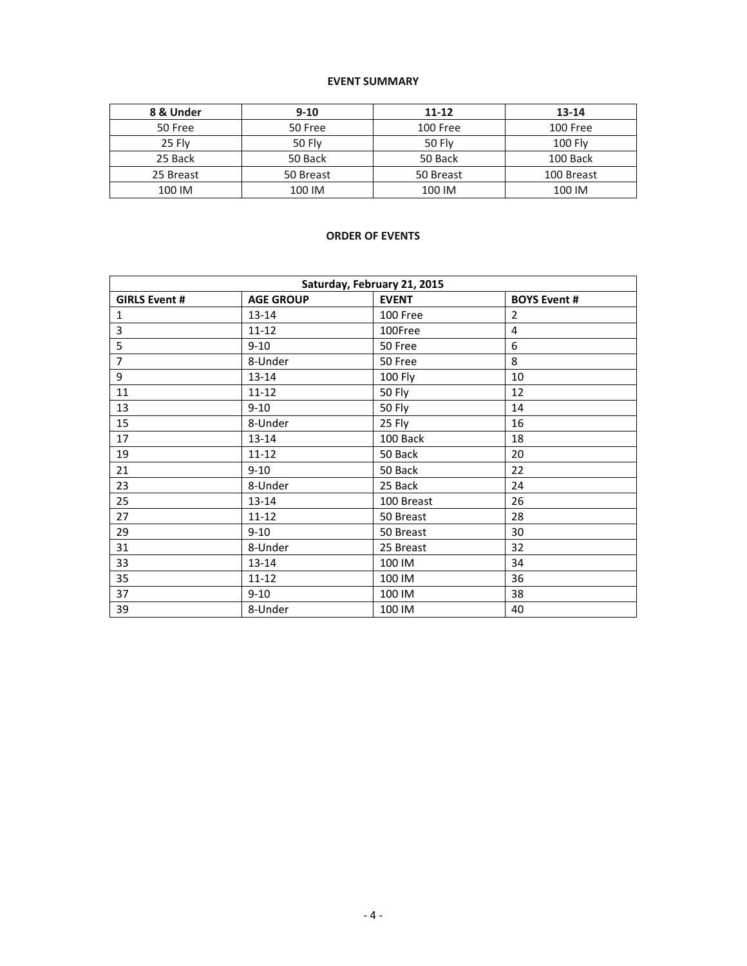## **EVENT SUMMARY**

| 8 & Under | $9 - 10$      | $11 - 12$     | $13 - 14$      |  |  |
|-----------|---------------|---------------|----------------|--|--|
| 50 Free   | 50 Free       | 100 Free      | 100 Free       |  |  |
| 25 Flv    | <b>50 Fly</b> | <b>50 Flv</b> | <b>100 Flv</b> |  |  |
| 25 Back   | 50 Back       | 50 Back       | 100 Back       |  |  |
| 25 Breast | 50 Breast     | 50 Breast     | 100 Breast     |  |  |
| 100 IM    | 100 IM        | 100 IM        | 100 IM         |  |  |

### **ORDER OF EVENTS**

| Saturday, February 21, 2015 |                  |               |                     |  |  |  |  |
|-----------------------------|------------------|---------------|---------------------|--|--|--|--|
| <b>GIRLS Event #</b>        | <b>AGE GROUP</b> | <b>EVENT</b>  | <b>BOYS Event #</b> |  |  |  |  |
| 1                           | 13-14            | 100 Free      | $\overline{2}$      |  |  |  |  |
| 3                           | $11 - 12$        | 100Free       | $\overline{4}$      |  |  |  |  |
| 5                           | $9 - 10$         | 50 Free       | 6                   |  |  |  |  |
| $\overline{7}$              | 8-Under          | 50 Free       | 8                   |  |  |  |  |
| 9                           | 13-14            | 100 Fly       | 10                  |  |  |  |  |
| 11                          | $11 - 12$        | 50 Fly        | 12                  |  |  |  |  |
| 13                          | $9 - 10$         | <b>50 Fly</b> | 14                  |  |  |  |  |
| 15                          | 8-Under          | 25 Fly        | 16                  |  |  |  |  |
| 17                          | $13 - 14$        | 100 Back      | 18                  |  |  |  |  |
| 19                          | $11 - 12$        | 50 Back       | 20                  |  |  |  |  |
| 21                          | $9 - 10$         | 50 Back       | 22                  |  |  |  |  |
| 23                          | 8-Under          | 25 Back       | 24                  |  |  |  |  |
| 25                          | 13-14            | 100 Breast    | 26                  |  |  |  |  |
| 27                          | $11 - 12$        | 50 Breast     | 28                  |  |  |  |  |
| 29                          | $9 - 10$         | 50 Breast     | 30                  |  |  |  |  |
| 31                          | 8-Under          | 25 Breast     | 32                  |  |  |  |  |
| 33                          | 13-14            | 100 IM        | 34                  |  |  |  |  |
| 35                          | $11 - 12$        | 100 IM        | 36                  |  |  |  |  |
| 37                          | $9 - 10$         | 100 IM        | 38                  |  |  |  |  |
| 39                          | 8-Under          | 100 IM        | 40                  |  |  |  |  |